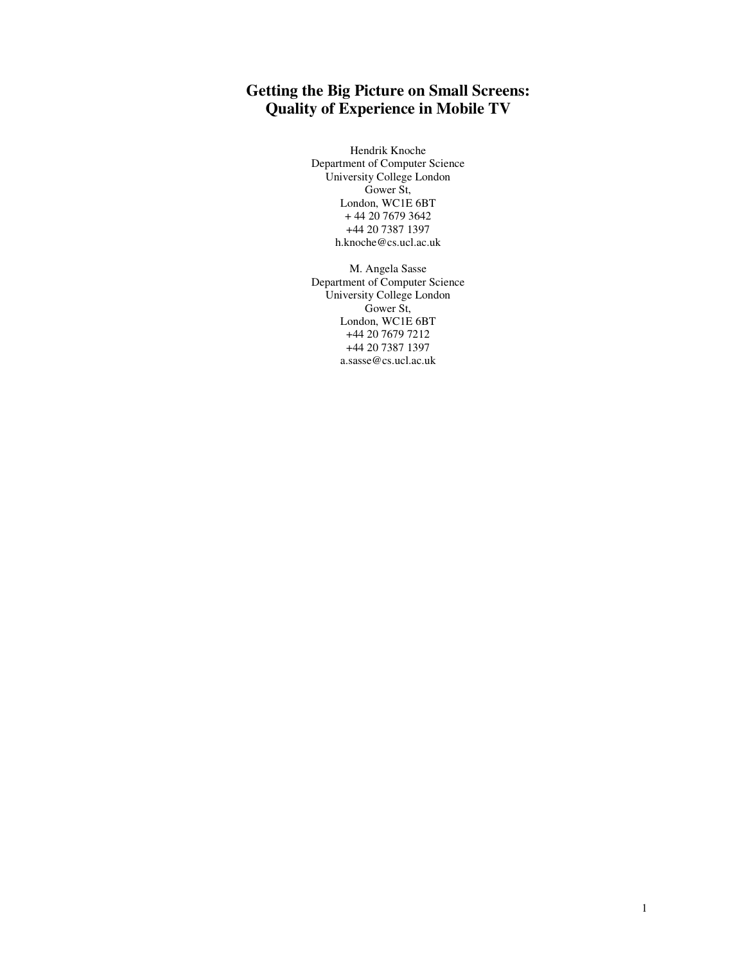# **Getting the Big Picture on Small Screens: Quality of Experience in Mobile TV**

Hendrik Knoche Department of Computer Science University College London Gower St, London, WC1E 6BT + 44 20 7679 3642 +44 20 7387 1397 h.knoche@cs.ucl.ac.uk

M. Angela Sasse Department of Computer Science University College London Gower St, London, WC1E 6BT +44 20 7679 7212 +44 20 7387 1397 a.sasse@cs.ucl.ac.uk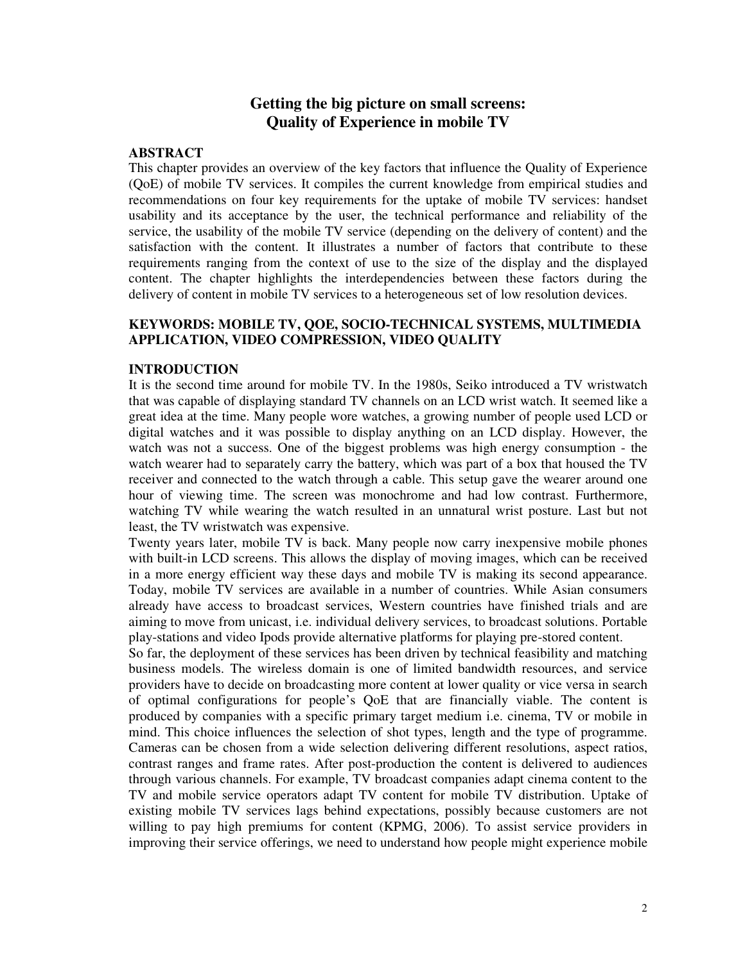## **Getting the big picture on small screens: Quality of Experience in mobile TV**

#### **ABSTRACT**

This chapter provides an overview of the key factors that influence the Quality of Experience (QoE) of mobile TV services. It compiles the current knowledge from empirical studies and recommendations on four key requirements for the uptake of mobile TV services: handset usability and its acceptance by the user, the technical performance and reliability of the service, the usability of the mobile TV service (depending on the delivery of content) and the satisfaction with the content. It illustrates a number of factors that contribute to these requirements ranging from the context of use to the size of the display and the displayed content. The chapter highlights the interdependencies between these factors during the delivery of content in mobile TV services to a heterogeneous set of low resolution devices.

### **KEYWORDS: MOBILE TV, QOE, SOCIO-TECHNICAL SYSTEMS, MULTIMEDIA APPLICATION, VIDEO COMPRESSION, VIDEO QUALITY**

#### **INTRODUCTION**

It is the second time around for mobile TV. In the 1980s, Seiko introduced a TV wristwatch that was capable of displaying standard TV channels on an LCD wrist watch. It seemed like a great idea at the time. Many people wore watches, a growing number of people used LCD or digital watches and it was possible to display anything on an LCD display. However, the watch was not a success. One of the biggest problems was high energy consumption - the watch wearer had to separately carry the battery, which was part of a box that housed the TV receiver and connected to the watch through a cable. This setup gave the wearer around one hour of viewing time. The screen was monochrome and had low contrast. Furthermore, watching TV while wearing the watch resulted in an unnatural wrist posture. Last but not least, the TV wristwatch was expensive.

Twenty years later, mobile TV is back. Many people now carry inexpensive mobile phones with built-in LCD screens. This allows the display of moving images, which can be received in a more energy efficient way these days and mobile TV is making its second appearance. Today, mobile TV services are available in a number of countries. While Asian consumers already have access to broadcast services, Western countries have finished trials and are aiming to move from unicast, i.e. individual delivery services, to broadcast solutions. Portable play-stations and video Ipods provide alternative platforms for playing pre-stored content.

So far, the deployment of these services has been driven by technical feasibility and matching business models. The wireless domain is one of limited bandwidth resources, and service providers have to decide on broadcasting more content at lower quality or vice versa in search of optimal configurations for people's QoE that are financially viable. The content is produced by companies with a specific primary target medium i.e. cinema, TV or mobile in mind. This choice influences the selection of shot types, length and the type of programme. Cameras can be chosen from a wide selection delivering different resolutions, aspect ratios, contrast ranges and frame rates. After post-production the content is delivered to audiences through various channels. For example, TV broadcast companies adapt cinema content to the TV and mobile service operators adapt TV content for mobile TV distribution. Uptake of existing mobile TV services lags behind expectations, possibly because customers are not willing to pay high premiums for content (KPMG, 2006). To assist service providers in improving their service offerings, we need to understand how people might experience mobile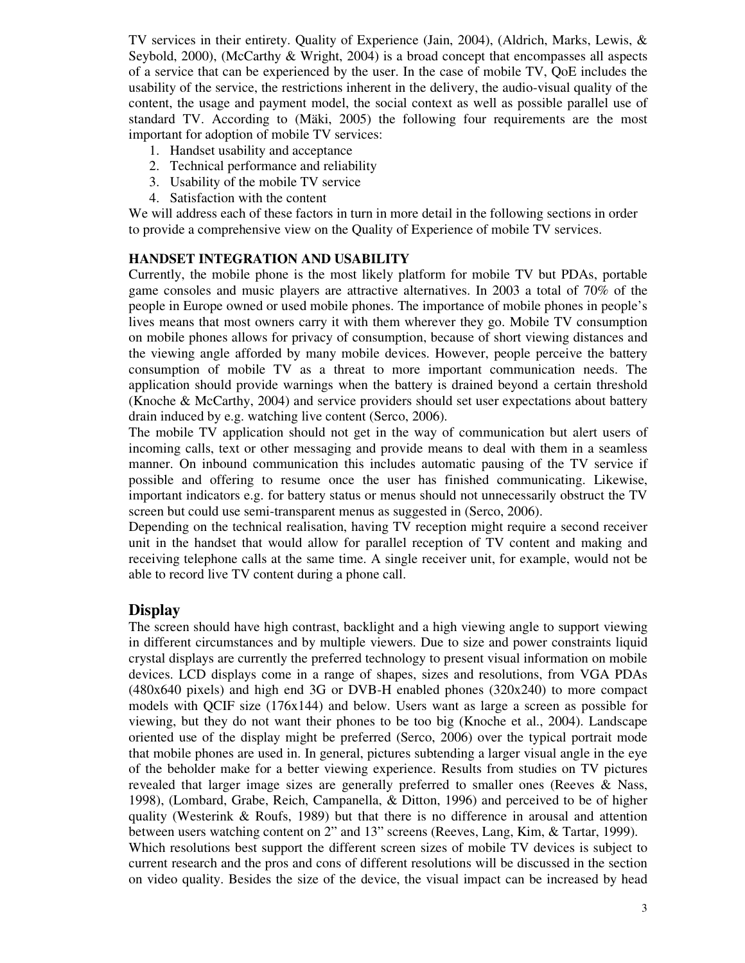TV services in their entirety. Quality of Experience (Jain, 2004), (Aldrich, Marks, Lewis, & Seybold, 2000), (McCarthy & Wright, 2004) is a broad concept that encompasses all aspects of a service that can be experienced by the user. In the case of mobile TV, QoE includes the usability of the service, the restrictions inherent in the delivery, the audio-visual quality of the content, the usage and payment model, the social context as well as possible parallel use of standard TV. According to (Mäki, 2005) the following four requirements are the most important for adoption of mobile TV services:

- 1. Handset usability and acceptance
- 2. Technical performance and reliability
- 3. Usability of the mobile TV service
- 4. Satisfaction with the content

We will address each of these factors in turn in more detail in the following sections in order to provide a comprehensive view on the Quality of Experience of mobile TV services.

#### **HANDSET INTEGRATION AND USABILITY**

Currently, the mobile phone is the most likely platform for mobile TV but PDAs, portable game consoles and music players are attractive alternatives. In 2003 a total of 70% of the people in Europe owned or used mobile phones. The importance of mobile phones in people's lives means that most owners carry it with them wherever they go. Mobile TV consumption on mobile phones allows for privacy of consumption, because of short viewing distances and the viewing angle afforded by many mobile devices. However, people perceive the battery consumption of mobile TV as a threat to more important communication needs. The application should provide warnings when the battery is drained beyond a certain threshold (Knoche & McCarthy, 2004) and service providers should set user expectations about battery drain induced by e.g. watching live content (Serco, 2006).

The mobile TV application should not get in the way of communication but alert users of incoming calls, text or other messaging and provide means to deal with them in a seamless manner. On inbound communication this includes automatic pausing of the TV service if possible and offering to resume once the user has finished communicating. Likewise, important indicators e.g. for battery status or menus should not unnecessarily obstruct the TV screen but could use semi-transparent menus as suggested in (Serco, 2006).

Depending on the technical realisation, having TV reception might require a second receiver unit in the handset that would allow for parallel reception of TV content and making and receiving telephone calls at the same time. A single receiver unit, for example, would not be able to record live TV content during a phone call.

## **Display**

The screen should have high contrast, backlight and a high viewing angle to support viewing in different circumstances and by multiple viewers. Due to size and power constraints liquid crystal displays are currently the preferred technology to present visual information on mobile devices. LCD displays come in a range of shapes, sizes and resolutions, from VGA PDAs (480x640 pixels) and high end 3G or DVB-H enabled phones (320x240) to more compact models with QCIF size (176x144) and below. Users want as large a screen as possible for viewing, but they do not want their phones to be too big (Knoche et al., 2004). Landscape oriented use of the display might be preferred (Serco, 2006) over the typical portrait mode that mobile phones are used in. In general, pictures subtending a larger visual angle in the eye of the beholder make for a better viewing experience. Results from studies on TV pictures revealed that larger image sizes are generally preferred to smaller ones (Reeves & Nass, 1998), (Lombard, Grabe, Reich, Campanella, & Ditton, 1996) and perceived to be of higher quality (Westerink & Roufs, 1989) but that there is no difference in arousal and attention between users watching content on 2" and 13" screens (Reeves, Lang, Kim, & Tartar, 1999). Which resolutions best support the different screen sizes of mobile TV devices is subject to current research and the pros and cons of different resolutions will be discussed in the section on video quality. Besides the size of the device, the visual impact can be increased by head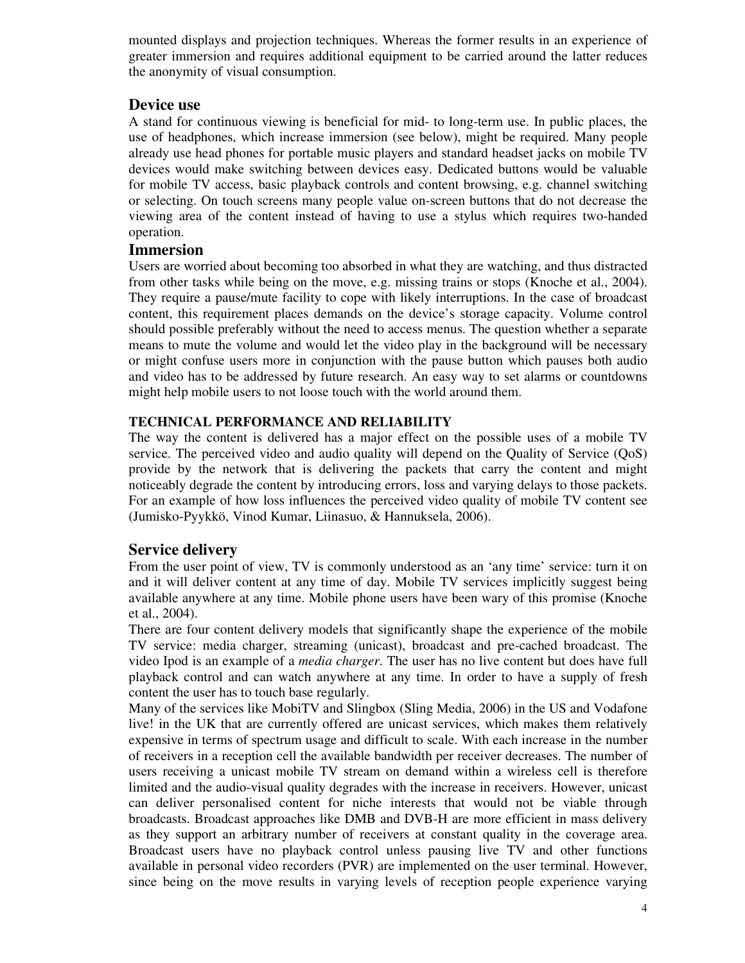mounted displays and projection techniques. Whereas the former results in an experience of greater immersion and requires additional equipment to be carried around the latter reduces the anonymity of visual consumption.

## **Device use**

A stand for continuous viewing is beneficial for mid- to long-term use. In public places, the use of headphones, which increase immersion (see below), might be required. Many people already use head phones for portable music players and standard headset jacks on mobile TV devices would make switching between devices easy. Dedicated buttons would be valuable for mobile TV access, basic playback controls and content browsing, e.g. channel switching or selecting. On touch screens many people value on-screen buttons that do not decrease the viewing area of the content instead of having to use a stylus which requires two-handed operation.

## **Immersion**

Users are worried about becoming too absorbed in what they are watching, and thus distracted from other tasks while being on the move, e.g. missing trains or stops (Knoche et al., 2004). They require a pause/mute facility to cope with likely interruptions. In the case of broadcast content, this requirement places demands on the device's storage capacity. Volume control should possible preferably without the need to access menus. The question whether a separate means to mute the volume and would let the video play in the background will be necessary or might confuse users more in conjunction with the pause button which pauses both audio and video has to be addressed by future research. An easy way to set alarms or countdowns might help mobile users to not loose touch with the world around them.

## **TECHNICAL PERFORMANCE AND RELIABILITY**

The way the content is delivered has a major effect on the possible uses of a mobile TV service. The perceived video and audio quality will depend on the Quality of Service (QoS) provide by the network that is delivering the packets that carry the content and might noticeably degrade the content by introducing errors, loss and varying delays to those packets. For an example of how loss influences the perceived video quality of mobile TV content see (Jumisko-Pyykkö, Vinod Kumar, Liinasuo, & Hannuksela, 2006).

## **Service delivery**

From the user point of view, TV is commonly understood as an 'any time' service: turn it on and it will deliver content at any time of day. Mobile TV services implicitly suggest being available anywhere at any time. Mobile phone users have been wary of this promise (Knoche et al., 2004).

There are four content delivery models that significantly shape the experience of the mobile TV service: media charger, streaming (unicast), broadcast and pre-cached broadcast. The video Ipod is an example of a *media charger*. The user has no live content but does have full playback control and can watch anywhere at any time. In order to have a supply of fresh content the user has to touch base regularly.

Many of the services like MobiTV and Slingbox (Sling Media, 2006) in the US and Vodafone live! in the UK that are currently offered are unicast services, which makes them relatively expensive in terms of spectrum usage and difficult to scale. With each increase in the number of receivers in a reception cell the available bandwidth per receiver decreases. The number of users receiving a unicast mobile TV stream on demand within a wireless cell is therefore limited and the audio-visual quality degrades with the increase in receivers. However, unicast can deliver personalised content for niche interests that would not be viable through broadcasts. Broadcast approaches like DMB and DVB-H are more efficient in mass delivery as they support an arbitrary number of receivers at constant quality in the coverage area. Broadcast users have no playback control unless pausing live TV and other functions available in personal video recorders (PVR) are implemented on the user terminal. However, since being on the move results in varying levels of reception people experience varying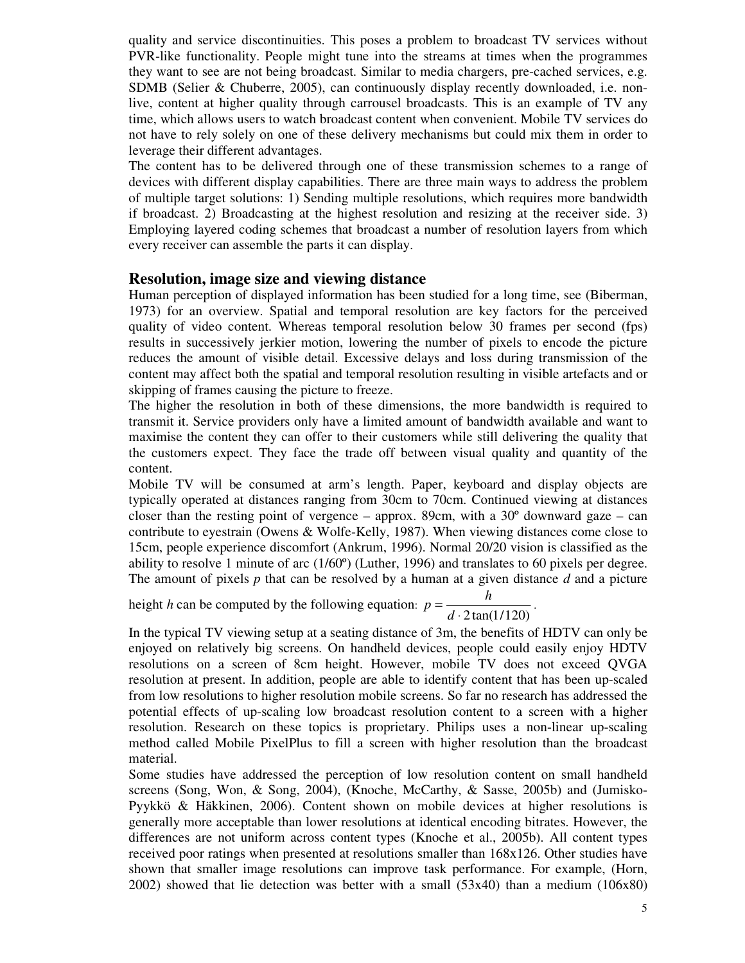quality and service discontinuities. This poses a problem to broadcast TV services without PVR-like functionality. People might tune into the streams at times when the programmes they want to see are not being broadcast. Similar to media chargers, pre-cached services, e.g. SDMB (Selier & Chuberre, 2005), can continuously display recently downloaded, i.e. nonlive, content at higher quality through carrousel broadcasts. This is an example of TV any time, which allows users to watch broadcast content when convenient. Mobile TV services do not have to rely solely on one of these delivery mechanisms but could mix them in order to leverage their different advantages.

The content has to be delivered through one of these transmission schemes to a range of devices with different display capabilities. There are three main ways to address the problem of multiple target solutions: 1) Sending multiple resolutions, which requires more bandwidth if broadcast. 2) Broadcasting at the highest resolution and resizing at the receiver side. 3) Employing layered coding schemes that broadcast a number of resolution layers from which every receiver can assemble the parts it can display.

#### **Resolution, image size and viewing distance**

Human perception of displayed information has been studied for a long time, see (Biberman, 1973) for an overview. Spatial and temporal resolution are key factors for the perceived quality of video content. Whereas temporal resolution below 30 frames per second (fps) results in successively jerkier motion, lowering the number of pixels to encode the picture reduces the amount of visible detail. Excessive delays and loss during transmission of the content may affect both the spatial and temporal resolution resulting in visible artefacts and or skipping of frames causing the picture to freeze.

The higher the resolution in both of these dimensions, the more bandwidth is required to transmit it. Service providers only have a limited amount of bandwidth available and want to maximise the content they can offer to their customers while still delivering the quality that the customers expect. They face the trade off between visual quality and quantity of the content.

Mobile TV will be consumed at arm's length. Paper, keyboard and display objects are typically operated at distances ranging from 30cm to 70cm. Continued viewing at distances closer than the resting point of vergence – approx. 89cm, with a  $30^{\circ}$  downward gaze – can contribute to eyestrain (Owens & Wolfe-Kelly, 1987). When viewing distances come close to 15cm, people experience discomfort (Ankrum, 1996). Normal 20/20 vision is classified as the ability to resolve 1 minute of arc (1/60º) (Luther, 1996) and translates to 60 pixels per degree. The amount of pixels *p* that can be resolved by a human at a given distance *d* and a picture

height *h* can be computed by the following equation:  $p = \frac{h}{d \cdot 2 \tan(1/120)}$ = *d*  $p = \frac{h}{\sqrt{1 - \frac{h}{h}} \cdot h}$ .

In the typical TV viewing setup at a seating distance of 3m, the benefits of HDTV can only be enjoyed on relatively big screens. On handheld devices, people could easily enjoy HDTV resolutions on a screen of 8cm height. However, mobile TV does not exceed QVGA resolution at present. In addition, people are able to identify content that has been up-scaled from low resolutions to higher resolution mobile screens. So far no research has addressed the potential effects of up-scaling low broadcast resolution content to a screen with a higher resolution. Research on these topics is proprietary. Philips uses a non-linear up-scaling method called Mobile PixelPlus to fill a screen with higher resolution than the broadcast material.

Some studies have addressed the perception of low resolution content on small handheld screens (Song, Won, & Song, 2004), (Knoche, McCarthy, & Sasse, 2005b) and (Jumisko-Pyykkö & Häkkinen, 2006). Content shown on mobile devices at higher resolutions is generally more acceptable than lower resolutions at identical encoding bitrates. However, the differences are not uniform across content types (Knoche et al., 2005b). All content types received poor ratings when presented at resolutions smaller than 168x126. Other studies have shown that smaller image resolutions can improve task performance. For example, (Horn, 2002) showed that lie detection was better with a small (53x40) than a medium (106x80)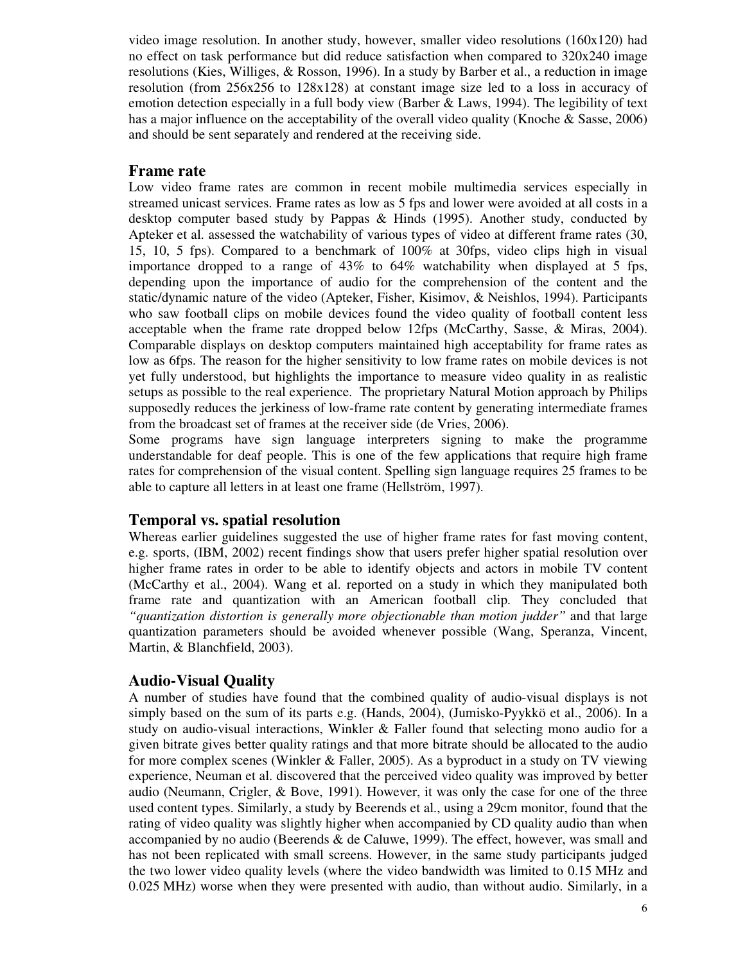video image resolution. In another study, however, smaller video resolutions (160x120) had no effect on task performance but did reduce satisfaction when compared to 320x240 image resolutions (Kies, Williges, & Rosson, 1996). In a study by Barber et al., a reduction in image resolution (from 256x256 to 128x128) at constant image size led to a loss in accuracy of emotion detection especially in a full body view (Barber & Laws, 1994). The legibility of text has a major influence on the acceptability of the overall video quality (Knoche & Sasse, 2006) and should be sent separately and rendered at the receiving side.

### **Frame rate**

Low video frame rates are common in recent mobile multimedia services especially in streamed unicast services. Frame rates as low as 5 fps and lower were avoided at all costs in a desktop computer based study by Pappas & Hinds (1995). Another study, conducted by Apteker et al. assessed the watchability of various types of video at different frame rates (30, 15, 10, 5 fps). Compared to a benchmark of 100% at 30fps, video clips high in visual importance dropped to a range of  $43\%$  to  $64\%$  watchability when displayed at 5 fps, depending upon the importance of audio for the comprehension of the content and the static/dynamic nature of the video (Apteker, Fisher, Kisimov, & Neishlos, 1994). Participants who saw football clips on mobile devices found the video quality of football content less acceptable when the frame rate dropped below 12fps (McCarthy, Sasse, & Miras, 2004). Comparable displays on desktop computers maintained high acceptability for frame rates as low as 6fps. The reason for the higher sensitivity to low frame rates on mobile devices is not yet fully understood, but highlights the importance to measure video quality in as realistic setups as possible to the real experience. The proprietary Natural Motion approach by Philips supposedly reduces the jerkiness of low-frame rate content by generating intermediate frames from the broadcast set of frames at the receiver side (de Vries, 2006).

Some programs have sign language interpreters signing to make the programme understandable for deaf people. This is one of the few applications that require high frame rates for comprehension of the visual content. Spelling sign language requires 25 frames to be able to capture all letters in at least one frame (Hellström, 1997).

### **Temporal vs. spatial resolution**

Whereas earlier guidelines suggested the use of higher frame rates for fast moving content, e.g. sports, (IBM, 2002) recent findings show that users prefer higher spatial resolution over higher frame rates in order to be able to identify objects and actors in mobile TV content (McCarthy et al., 2004). Wang et al. reported on a study in which they manipulated both frame rate and quantization with an American football clip. They concluded that *"quantization distortion is generally more objectionable than motion judder"* and that large quantization parameters should be avoided whenever possible (Wang, Speranza, Vincent, Martin, & Blanchfield, 2003).

## **Audio-Visual Quality**

A number of studies have found that the combined quality of audio-visual displays is not simply based on the sum of its parts e.g. (Hands, 2004), (Jumisko-Pyykkö et al., 2006). In a study on audio-visual interactions, Winkler & Faller found that selecting mono audio for a given bitrate gives better quality ratings and that more bitrate should be allocated to the audio for more complex scenes (Winkler & Faller, 2005). As a byproduct in a study on TV viewing experience, Neuman et al. discovered that the perceived video quality was improved by better audio (Neumann, Crigler, & Bove, 1991). However, it was only the case for one of the three used content types. Similarly, a study by Beerends et al., using a 29cm monitor, found that the rating of video quality was slightly higher when accompanied by CD quality audio than when accompanied by no audio (Beerends  $&$  de Caluwe, 1999). The effect, however, was small and has not been replicated with small screens. However, in the same study participants judged the two lower video quality levels (where the video bandwidth was limited to 0.15 MHz and 0.025 MHz) worse when they were presented with audio, than without audio. Similarly, in a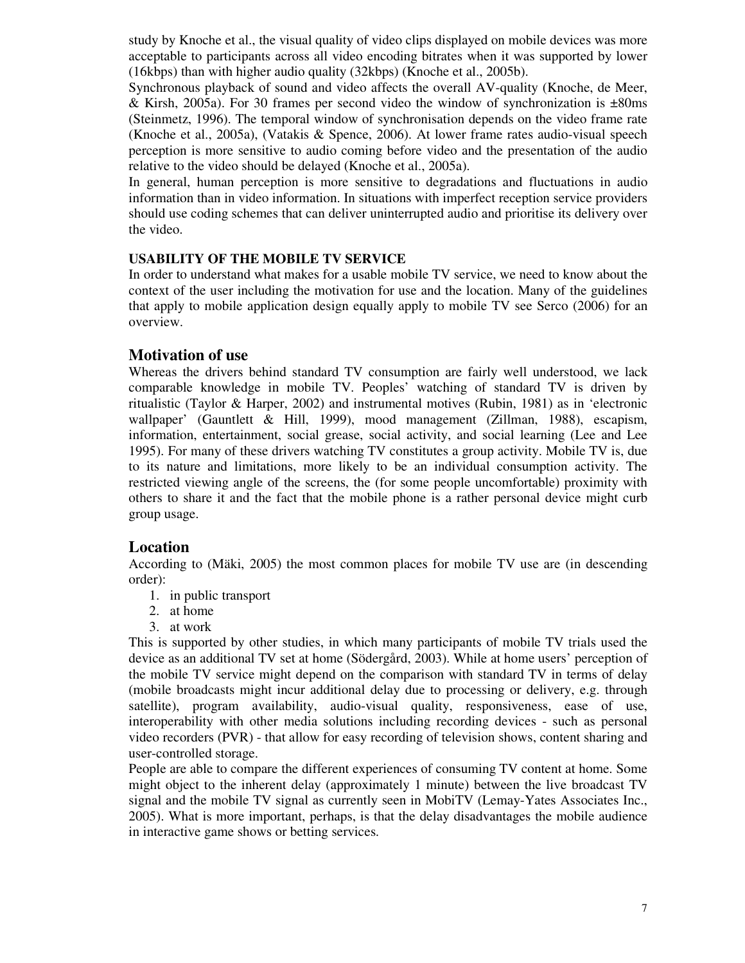study by Knoche et al., the visual quality of video clips displayed on mobile devices was more acceptable to participants across all video encoding bitrates when it was supported by lower (16kbps) than with higher audio quality (32kbps) (Knoche et al., 2005b).

Synchronous playback of sound and video affects the overall AV-quality (Knoche, de Meer, & Kirsh, 2005a). For 30 frames per second video the window of synchronization is ±80ms (Steinmetz, 1996). The temporal window of synchronisation depends on the video frame rate (Knoche et al., 2005a), (Vatakis & Spence, 2006). At lower frame rates audio-visual speech perception is more sensitive to audio coming before video and the presentation of the audio relative to the video should be delayed (Knoche et al., 2005a).

In general, human perception is more sensitive to degradations and fluctuations in audio information than in video information. In situations with imperfect reception service providers should use coding schemes that can deliver uninterrupted audio and prioritise its delivery over the video.

### **USABILITY OF THE MOBILE TV SERVICE**

In order to understand what makes for a usable mobile TV service, we need to know about the context of the user including the motivation for use and the location. Many of the guidelines that apply to mobile application design equally apply to mobile TV see Serco (2006) for an overview.

## **Motivation of use**

Whereas the drivers behind standard TV consumption are fairly well understood, we lack comparable knowledge in mobile TV. Peoples' watching of standard TV is driven by ritualistic (Taylor & Harper, 2002) and instrumental motives (Rubin, 1981) as in 'electronic wallpaper' (Gauntlett & Hill, 1999), mood management (Zillman, 1988), escapism, information, entertainment, social grease, social activity, and social learning (Lee and Lee 1995). For many of these drivers watching TV constitutes a group activity. Mobile TV is, due to its nature and limitations, more likely to be an individual consumption activity. The restricted viewing angle of the screens, the (for some people uncomfortable) proximity with others to share it and the fact that the mobile phone is a rather personal device might curb group usage.

## **Location**

According to (Mäki, 2005) the most common places for mobile TV use are (in descending order):

- 1. in public transport
- 2. at home
- 3. at work

This is supported by other studies, in which many participants of mobile TV trials used the device as an additional TV set at home (Södergård, 2003). While at home users' perception of the mobile TV service might depend on the comparison with standard TV in terms of delay (mobile broadcasts might incur additional delay due to processing or delivery, e.g. through satellite), program availability, audio-visual quality, responsiveness, ease of use, interoperability with other media solutions including recording devices - such as personal video recorders (PVR) - that allow for easy recording of television shows, content sharing and user-controlled storage.

People are able to compare the different experiences of consuming TV content at home. Some might object to the inherent delay (approximately 1 minute) between the live broadcast TV signal and the mobile TV signal as currently seen in MobiTV (Lemay-Yates Associates Inc., 2005). What is more important, perhaps, is that the delay disadvantages the mobile audience in interactive game shows or betting services.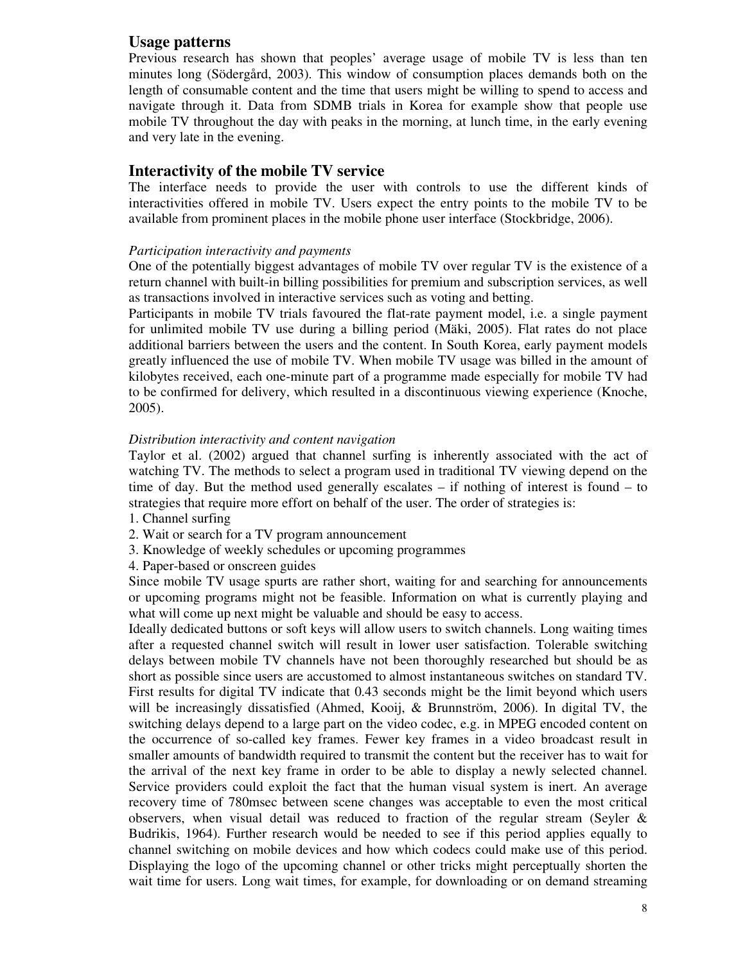## **Usage patterns**

Previous research has shown that peoples' average usage of mobile TV is less than ten minutes long (Södergård, 2003). This window of consumption places demands both on the length of consumable content and the time that users might be willing to spend to access and navigate through it. Data from SDMB trials in Korea for example show that people use mobile TV throughout the day with peaks in the morning, at lunch time, in the early evening and very late in the evening.

## **Interactivity of the mobile TV service**

The interface needs to provide the user with controls to use the different kinds of interactivities offered in mobile TV. Users expect the entry points to the mobile TV to be available from prominent places in the mobile phone user interface (Stockbridge, 2006).

### *Participation interactivity and payments*

One of the potentially biggest advantages of mobile TV over regular TV is the existence of a return channel with built-in billing possibilities for premium and subscription services, as well as transactions involved in interactive services such as voting and betting.

Participants in mobile TV trials favoured the flat-rate payment model, i.e. a single payment for unlimited mobile TV use during a billing period (Mäki, 2005). Flat rates do not place additional barriers between the users and the content. In South Korea, early payment models greatly influenced the use of mobile TV. When mobile TV usage was billed in the amount of kilobytes received, each one-minute part of a programme made especially for mobile TV had to be confirmed for delivery, which resulted in a discontinuous viewing experience (Knoche, 2005).

### *Distribution interactivity and content navigation*

Taylor et al. (2002) argued that channel surfing is inherently associated with the act of watching TV. The methods to select a program used in traditional TV viewing depend on the time of day. But the method used generally escalates – if nothing of interest is found – to strategies that require more effort on behalf of the user. The order of strategies is:

- 1. Channel surfing
- 2. Wait or search for a TV program announcement
- 3. Knowledge of weekly schedules or upcoming programmes
- 4. Paper-based or onscreen guides

Since mobile TV usage spurts are rather short, waiting for and searching for announcements or upcoming programs might not be feasible. Information on what is currently playing and what will come up next might be valuable and should be easy to access.

Ideally dedicated buttons or soft keys will allow users to switch channels. Long waiting times after a requested channel switch will result in lower user satisfaction. Tolerable switching delays between mobile TV channels have not been thoroughly researched but should be as short as possible since users are accustomed to almost instantaneous switches on standard TV. First results for digital TV indicate that 0.43 seconds might be the limit beyond which users will be increasingly dissatisfied (Ahmed, Kooij, & Brunnström, 2006). In digital TV, the switching delays depend to a large part on the video codec, e.g. in MPEG encoded content on the occurrence of so-called key frames. Fewer key frames in a video broadcast result in smaller amounts of bandwidth required to transmit the content but the receiver has to wait for the arrival of the next key frame in order to be able to display a newly selected channel. Service providers could exploit the fact that the human visual system is inert. An average recovery time of 780msec between scene changes was acceptable to even the most critical observers, when visual detail was reduced to fraction of the regular stream (Seyler  $\&$ Budrikis, 1964). Further research would be needed to see if this period applies equally to channel switching on mobile devices and how which codecs could make use of this period. Displaying the logo of the upcoming channel or other tricks might perceptually shorten the wait time for users. Long wait times, for example, for downloading or on demand streaming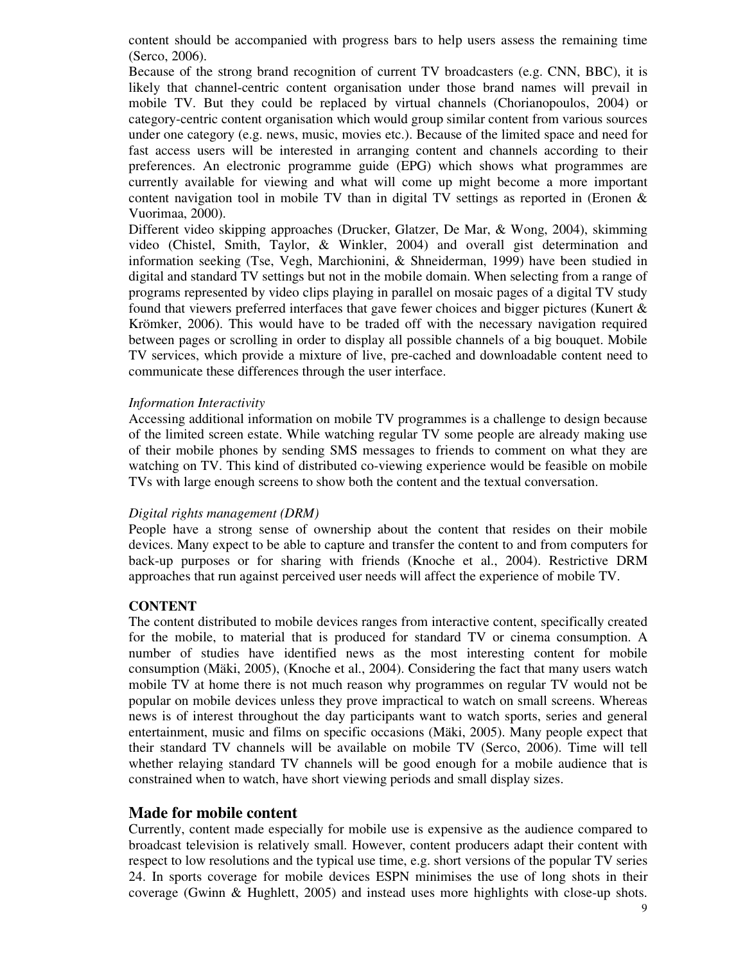content should be accompanied with progress bars to help users assess the remaining time (Serco, 2006).

Because of the strong brand recognition of current TV broadcasters (e.g. CNN, BBC), it is likely that channel-centric content organisation under those brand names will prevail in mobile TV. But they could be replaced by virtual channels (Chorianopoulos, 2004) or category-centric content organisation which would group similar content from various sources under one category (e.g. news, music, movies etc.). Because of the limited space and need for fast access users will be interested in arranging content and channels according to their preferences. An electronic programme guide (EPG) which shows what programmes are currently available for viewing and what will come up might become a more important content navigation tool in mobile TV than in digital TV settings as reported in (Eronen  $\&$ Vuorimaa, 2000).

Different video skipping approaches (Drucker, Glatzer, De Mar, & Wong, 2004), skimming video (Chistel, Smith, Taylor, & Winkler, 2004) and overall gist determination and information seeking (Tse, Vegh, Marchionini, & Shneiderman, 1999) have been studied in digital and standard TV settings but not in the mobile domain. When selecting from a range of programs represented by video clips playing in parallel on mosaic pages of a digital TV study found that viewers preferred interfaces that gave fewer choices and bigger pictures (Kunert  $\&$ Krömker, 2006). This would have to be traded off with the necessary navigation required between pages or scrolling in order to display all possible channels of a big bouquet. Mobile TV services, which provide a mixture of live, pre-cached and downloadable content need to communicate these differences through the user interface.

#### *Information Interactivity*

Accessing additional information on mobile TV programmes is a challenge to design because of the limited screen estate. While watching regular TV some people are already making use of their mobile phones by sending SMS messages to friends to comment on what they are watching on TV. This kind of distributed co-viewing experience would be feasible on mobile TVs with large enough screens to show both the content and the textual conversation.

#### *Digital rights management (DRM)*

People have a strong sense of ownership about the content that resides on their mobile devices. Many expect to be able to capture and transfer the content to and from computers for back-up purposes or for sharing with friends (Knoche et al., 2004). Restrictive DRM approaches that run against perceived user needs will affect the experience of mobile TV.

### **CONTENT**

The content distributed to mobile devices ranges from interactive content, specifically created for the mobile, to material that is produced for standard TV or cinema consumption. A number of studies have identified news as the most interesting content for mobile consumption (Mäki, 2005), (Knoche et al., 2004). Considering the fact that many users watch mobile TV at home there is not much reason why programmes on regular TV would not be popular on mobile devices unless they prove impractical to watch on small screens. Whereas news is of interest throughout the day participants want to watch sports, series and general entertainment, music and films on specific occasions (Mäki, 2005). Many people expect that their standard TV channels will be available on mobile TV (Serco, 2006). Time will tell whether relaying standard TV channels will be good enough for a mobile audience that is constrained when to watch, have short viewing periods and small display sizes.

### **Made for mobile content**

Currently, content made especially for mobile use is expensive as the audience compared to broadcast television is relatively small. However, content producers adapt their content with respect to low resolutions and the typical use time, e.g. short versions of the popular TV series 24. In sports coverage for mobile devices ESPN minimises the use of long shots in their coverage (Gwinn & Hughlett, 2005) and instead uses more highlights with close-up shots.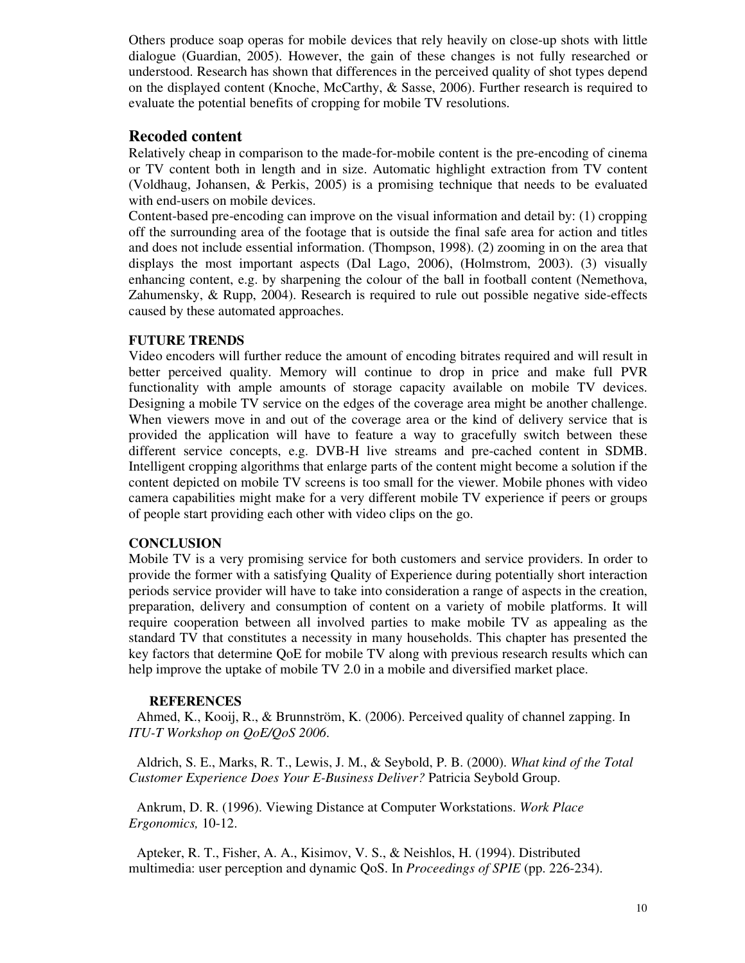Others produce soap operas for mobile devices that rely heavily on close-up shots with little dialogue (Guardian, 2005). However, the gain of these changes is not fully researched or understood. Research has shown that differences in the perceived quality of shot types depend on the displayed content (Knoche, McCarthy, & Sasse, 2006). Further research is required to evaluate the potential benefits of cropping for mobile TV resolutions.

### **Recoded content**

Relatively cheap in comparison to the made-for-mobile content is the pre-encoding of cinema or TV content both in length and in size. Automatic highlight extraction from TV content (Voldhaug, Johansen, & Perkis, 2005) is a promising technique that needs to be evaluated with end-users on mobile devices.

Content-based pre-encoding can improve on the visual information and detail by: (1) cropping off the surrounding area of the footage that is outside the final safe area for action and titles and does not include essential information. (Thompson, 1998). (2) zooming in on the area that displays the most important aspects (Dal Lago, 2006), (Holmstrom, 2003). (3) visually enhancing content, e.g. by sharpening the colour of the ball in football content (Nemethova, Zahumensky, & Rupp, 2004). Research is required to rule out possible negative side-effects caused by these automated approaches.

### **FUTURE TRENDS**

Video encoders will further reduce the amount of encoding bitrates required and will result in better perceived quality. Memory will continue to drop in price and make full PVR functionality with ample amounts of storage capacity available on mobile TV devices. Designing a mobile TV service on the edges of the coverage area might be another challenge. When viewers move in and out of the coverage area or the kind of delivery service that is provided the application will have to feature a way to gracefully switch between these different service concepts, e.g. DVB-H live streams and pre-cached content in SDMB. Intelligent cropping algorithms that enlarge parts of the content might become a solution if the content depicted on mobile TV screens is too small for the viewer. Mobile phones with video camera capabilities might make for a very different mobile TV experience if peers or groups of people start providing each other with video clips on the go.

#### **CONCLUSION**

Mobile TV is a very promising service for both customers and service providers. In order to provide the former with a satisfying Quality of Experience during potentially short interaction periods service provider will have to take into consideration a range of aspects in the creation, preparation, delivery and consumption of content on a variety of mobile platforms. It will require cooperation between all involved parties to make mobile TV as appealing as the standard TV that constitutes a necessity in many households. This chapter has presented the key factors that determine QoE for mobile TV along with previous research results which can help improve the uptake of mobile TV 2.0 in a mobile and diversified market place.

#### **REFERENCES**

Ahmed, K., Kooij, R., & Brunnström, K. (2006). Perceived quality of channel zapping. In *ITU-T Workshop on QoE/QoS 2006*.

Aldrich, S. E., Marks, R. T., Lewis, J. M., & Seybold, P. B. (2000). *What kind of the Total Customer Experience Does Your E-Business Deliver?* Patricia Seybold Group.

Ankrum, D. R. (1996). Viewing Distance at Computer Workstations. *Work Place Ergonomics,* 10-12.

Apteker, R. T., Fisher, A. A., Kisimov, V. S., & Neishlos, H. (1994). Distributed multimedia: user perception and dynamic QoS. In *Proceedings of SPIE* (pp. 226-234).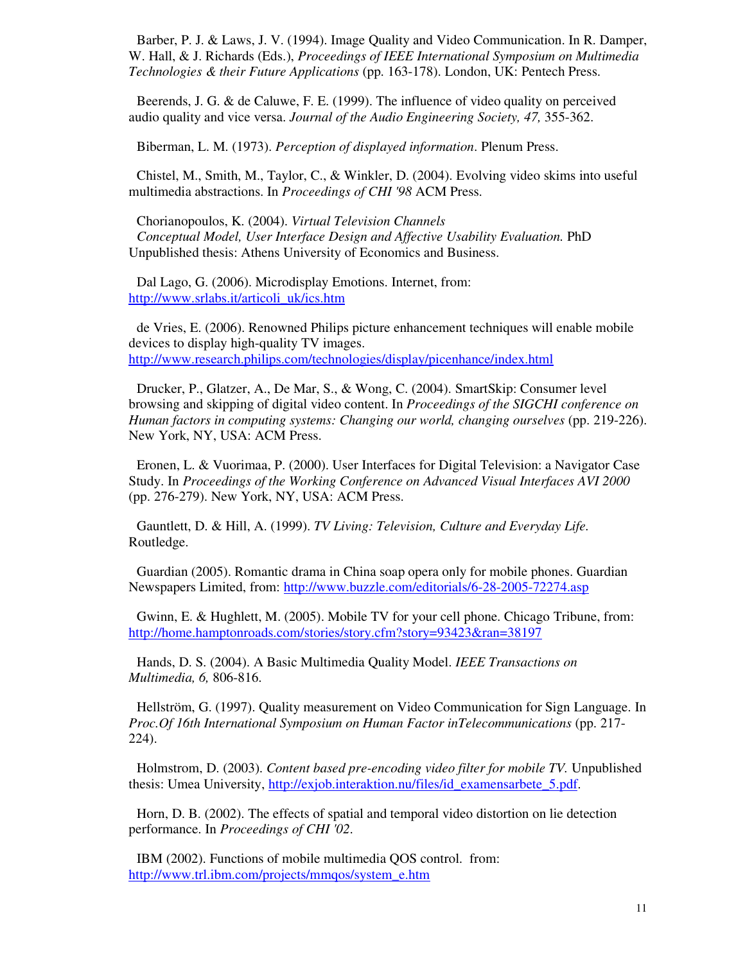Barber, P. J. & Laws, J. V. (1994). Image Quality and Video Communication. In R. Damper, W. Hall, & J. Richards (Eds.), *Proceedings of IEEE International Symposium on Multimedia Technologies & their Future Applications* (pp. 163-178). London, UK: Pentech Press.

Beerends, J. G. & de Caluwe, F. E. (1999). The influence of video quality on perceived audio quality and vice versa. *Journal of the Audio Engineering Society, 47,* 355-362.

Biberman, L. M. (1973). *Perception of displayed information*. Plenum Press.

Chistel, M., Smith, M., Taylor, C., & Winkler, D. (2004). Evolving video skims into useful multimedia abstractions. In *Proceedings of CHI '98* ACM Press.

Chorianopoulos, K. (2004). *Virtual Television Channels Conceptual Model, User Interface Design and Affective Usability Evaluation.* PhD Unpublished thesis: Athens University of Economics and Business.

Dal Lago, G. (2006). Microdisplay Emotions. Internet, from: http://www.srlabs.it/articoli\_uk/ics.htm

de Vries, E. (2006). Renowned Philips picture enhancement techniques will enable mobile devices to display high-quality TV images. http://www.research.philips.com/technologies/display/picenhance/index.html

Drucker, P., Glatzer, A., De Mar, S., & Wong, C. (2004). SmartSkip: Consumer level browsing and skipping of digital video content. In *Proceedings of the SIGCHI conference on Human factors in computing systems: Changing our world, changing ourselves* (pp. 219-226). New York, NY, USA: ACM Press.

Eronen, L. & Vuorimaa, P. (2000). User Interfaces for Digital Television: a Navigator Case Study. In *Proceedings of the Working Conference on Advanced Visual Interfaces AVI 2000* (pp. 276-279). New York, NY, USA: ACM Press.

Gauntlett, D. & Hill, A. (1999). *TV Living: Television, Culture and Everyday Life.* Routledge.

Guardian (2005). Romantic drama in China soap opera only for mobile phones. Guardian Newspapers Limited, from: http://www.buzzle.com/editorials/6-28-2005-72274.asp

Gwinn, E. & Hughlett, M. (2005). Mobile TV for your cell phone. Chicago Tribune, from: http://home.hamptonroads.com/stories/story.cfm?story=93423&ran=38197

Hands, D. S. (2004). A Basic Multimedia Quality Model. *IEEE Transactions on Multimedia, 6,* 806-816.

Hellström, G. (1997). Quality measurement on Video Communication for Sign Language. In *Proc.Of 16th International Symposium on Human Factor inTelecommunications* (pp. 217- 224).

Holmstrom, D. (2003). *Content based pre-encoding video filter for mobile TV.* Unpublished thesis: Umea University, http://exjob.interaktion.nu/files/id\_examensarbete\_5.pdf.

Horn, D. B. (2002). The effects of spatial and temporal video distortion on lie detection performance. In *Proceedings of CHI '02*.

IBM (2002). Functions of mobile multimedia QOS control. from: http://www.trl.ibm.com/projects/mmqos/system\_e.htm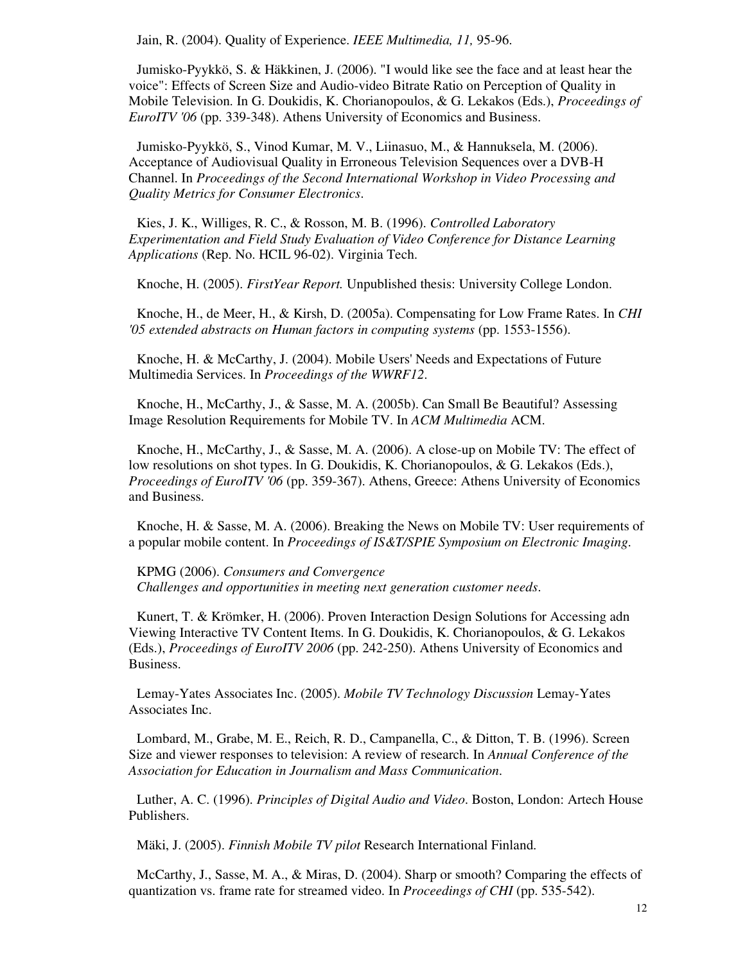Jain, R. (2004). Quality of Experience. *IEEE Multimedia, 11,* 95-96.

Jumisko-Pyykkö, S. & Häkkinen, J. (2006). "I would like see the face and at least hear the voice": Effects of Screen Size and Audio-video Bitrate Ratio on Perception of Quality in Mobile Television. In G. Doukidis, K. Chorianopoulos, & G. Lekakos (Eds.), *Proceedings of EuroITV '06* (pp. 339-348). Athens University of Economics and Business.

Jumisko-Pyykkö, S., Vinod Kumar, M. V., Liinasuo, M., & Hannuksela, M. (2006). Acceptance of Audiovisual Quality in Erroneous Television Sequences over a DVB-H Channel. In *Proceedings of the Second International Workshop in Video Processing and Quality Metrics for Consumer Electronics*.

Kies, J. K., Williges, R. C., & Rosson, M. B. (1996). *Controlled Laboratory Experimentation and Field Study Evaluation of Video Conference for Distance Learning Applications* (Rep. No. HCIL 96-02). Virginia Tech.

Knoche, H. (2005). *FirstYear Report.* Unpublished thesis: University College London.

Knoche, H., de Meer, H., & Kirsh, D. (2005a). Compensating for Low Frame Rates. In *CHI '05 extended abstracts on Human factors in computing systems* (pp. 1553-1556).

Knoche, H. & McCarthy, J. (2004). Mobile Users' Needs and Expectations of Future Multimedia Services. In *Proceedings of the WWRF12*.

Knoche, H., McCarthy, J., & Sasse, M. A. (2005b). Can Small Be Beautiful? Assessing Image Resolution Requirements for Mobile TV. In *ACM Multimedia* ACM.

Knoche, H., McCarthy, J., & Sasse, M. A. (2006). A close-up on Mobile TV: The effect of low resolutions on shot types. In G. Doukidis, K. Chorianopoulos, & G. Lekakos (Eds.), *Proceedings of EuroITV '06* (pp. 359-367). Athens, Greece: Athens University of Economics and Business.

Knoche, H. & Sasse, M. A. (2006). Breaking the News on Mobile TV: User requirements of a popular mobile content. In *Proceedings of IS&T/SPIE Symposium on Electronic Imaging*.

KPMG (2006). *Consumers and Convergence Challenges and opportunities in meeting next generation customer needs*.

Kunert, T. & Krömker, H. (2006). Proven Interaction Design Solutions for Accessing adn Viewing Interactive TV Content Items. In G. Doukidis, K. Chorianopoulos, & G. Lekakos (Eds.), *Proceedings of EuroITV 2006* (pp. 242-250). Athens University of Economics and Business.

Lemay-Yates Associates Inc. (2005). *Mobile TV Technology Discussion* Lemay-Yates Associates Inc.

Lombard, M., Grabe, M. E., Reich, R. D., Campanella, C., & Ditton, T. B. (1996). Screen Size and viewer responses to television: A review of research. In *Annual Conference of the Association for Education in Journalism and Mass Communication*.

Luther, A. C. (1996). *Principles of Digital Audio and Video*. Boston, London: Artech House Publishers.

Mäki, J. (2005). *Finnish Mobile TV pilot* Research International Finland.

McCarthy, J., Sasse, M. A., & Miras, D. (2004). Sharp or smooth? Comparing the effects of quantization vs. frame rate for streamed video. In *Proceedings of CHI* (pp. 535-542).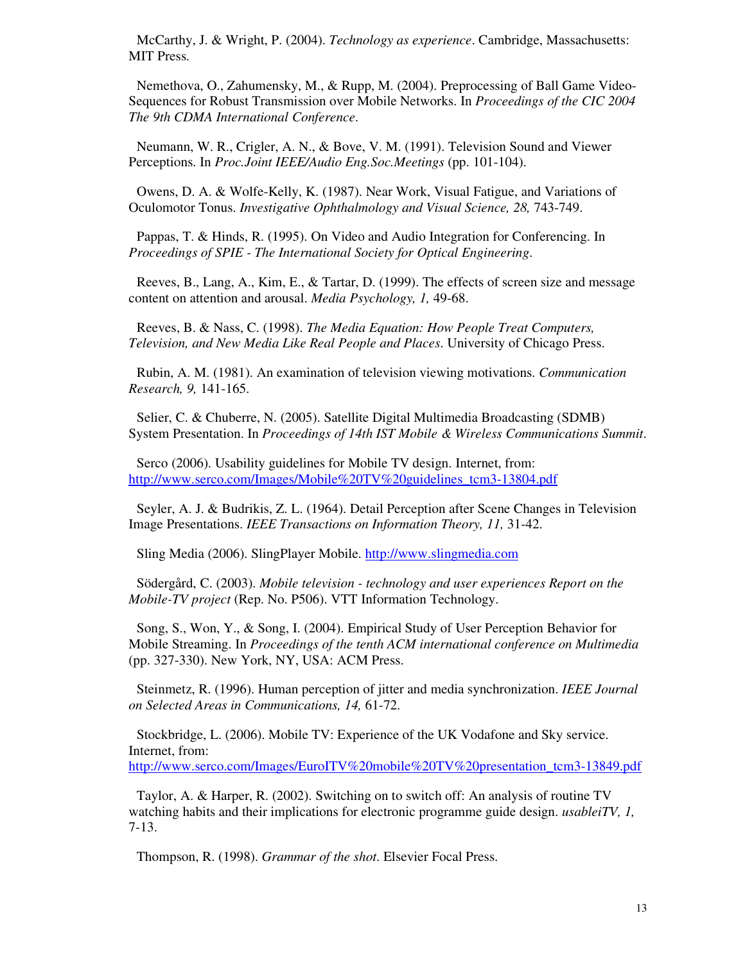McCarthy, J. & Wright, P. (2004). *Technology as experience*. Cambridge, Massachusetts: MIT Press.

Nemethova, O., Zahumensky, M., & Rupp, M. (2004). Preprocessing of Ball Game Video-Sequences for Robust Transmission over Mobile Networks. In *Proceedings of the CIC 2004 The 9th CDMA International Conference*.

Neumann, W. R., Crigler, A. N., & Bove, V. M. (1991). Television Sound and Viewer Perceptions. In *Proc.Joint IEEE/Audio Eng.Soc.Meetings* (pp. 101-104).

Owens, D. A. & Wolfe-Kelly, K. (1987). Near Work, Visual Fatigue, and Variations of Oculomotor Tonus. *Investigative Ophthalmology and Visual Science, 28,* 743-749.

Pappas, T. & Hinds, R. (1995). On Video and Audio Integration for Conferencing. In *Proceedings of SPIE - The International Society for Optical Engineering*.

Reeves, B., Lang, A., Kim, E., & Tartar, D. (1999). The effects of screen size and message content on attention and arousal. *Media Psychology, 1,* 49-68.

Reeves, B. & Nass, C. (1998). *The Media Equation: How People Treat Computers, Television, and New Media Like Real People and Places*. University of Chicago Press.

Rubin, A. M. (1981). An examination of television viewing motivations. *Communication Research, 9,* 141-165.

Selier, C. & Chuberre, N. (2005). Satellite Digital Multimedia Broadcasting (SDMB) System Presentation. In *Proceedings of 14th IST Mobile & Wireless Communications Summit*.

Serco (2006). Usability guidelines for Mobile TV design. Internet, from: http://www.serco.com/Images/Mobile%20TV%20guidelines\_tcm3-13804.pdf

Seyler, A. J. & Budrikis, Z. L. (1964). Detail Perception after Scene Changes in Television Image Presentations. *IEEE Transactions on Information Theory, 11,* 31-42.

Sling Media (2006). SlingPlayer Mobile. http://www.slingmedia.com

Södergård, C. (2003). *Mobile television - technology and user experiences Report on the Mobile-TV project* (Rep. No. P506). VTT Information Technology.

Song, S., Won, Y., & Song, I. (2004). Empirical Study of User Perception Behavior for Mobile Streaming. In *Proceedings of the tenth ACM international conference on Multimedia* (pp. 327-330). New York, NY, USA: ACM Press.

Steinmetz, R. (1996). Human perception of jitter and media synchronization. *IEEE Journal on Selected Areas in Communications, 14,* 61-72.

Stockbridge, L. (2006). Mobile TV: Experience of the UK Vodafone and Sky service. Internet, from: http://www.serco.com/Images/EuroITV%20mobile%20TV%20presentation\_tcm3-13849.pdf

Taylor, A. & Harper, R. (2002). Switching on to switch off: An analysis of routine TV watching habits and their implications for electronic programme guide design. *usableiTV, 1,* 7-13.

Thompson, R. (1998). *Grammar of the shot*. Elsevier Focal Press.